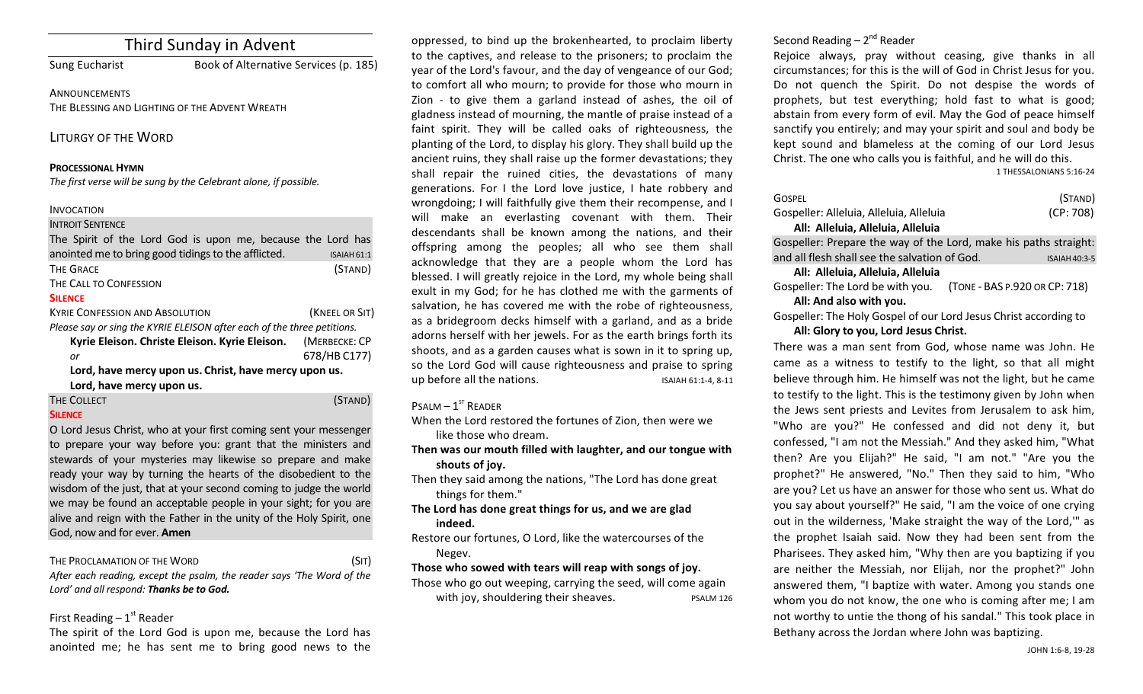# Third Sunday in Advent

Sung Eucharist Book of Alternative Services (p. 185)

**ANNOUNCEMENTS** THE BLESSING AND LIGHTING OF THE ADVENT WREATH

LITURGY OF THE WORD

#### **PROCESSIONAL HYMN**

The first verse will be sung by the Celebrant alone, if possible.

#### INVOCATION

#### **INTROIT SENTENCE**

| The Spirit of the Lord God is upon me, because the Lord has             |                |
|-------------------------------------------------------------------------|----------------|
| anointed me to bring good tidings to the afflicted.                     | ISAIAH 61:1    |
| <b>THE GRACE</b>                                                        | (STAND)        |
| THE CALL TO CONFESSION                                                  |                |
| <b>SILENCE</b>                                                          |                |
| <b>KYRIE CONFESSION AND ABSOLUTION</b>                                  | (KNEEL OR SIT) |
| Please say or sing the KYRIE ELEISON after each of the three petitions. |                |
| Kyrie Eleison. Christe Eleison. Kyrie Eleison.                          | (MERBECKE: CP  |
| or                                                                      | 678/HB C177)   |
|                                                                         |                |

Lord, have mercy upon us. Christ, have mercy upon us. Lord, have mercy upon us.

# THE COLLECT (STAND)

#### **SILENCE**

O Lord Jesus Christ, who at your first coming sent your messenger to prepare your way before you: grant that the ministers and stewards of your mysteries may likewise so prepare and make ready your way by turning the hearts of the disobedient to the wisdom of the just, that at your second coming to judge the world we may be found an acceptable people in your sight; for you are alive and reign with the Father in the unity of the Holy Spirit, one God, now and for ever. **Amen** 

THE PROCLAMATION OF THE WORD (SIT)

After each reading, except the psalm, the reader says 'The Word of the Lord' and all respond: Thanks be to God.

# First Reading  $-1<sup>st</sup>$  Reader

The spirit of the Lord God is upon me, because the Lord has anointed me; he has sent me to bring good news to the

oppressed, to bind up the brokenhearted, to proclaim liberty to the captives, and release to the prisoners; to proclaim the year of the Lord's favour, and the day of vengeance of our God; to comfort all who mourn; to provide for those who mourn in Zion - to give them a garland instead of ashes, the oil of gladness instead of mourning, the mantle of praise instead of a faint spirit. They will be called oaks of righteousness, the planting of the Lord, to display his glory. They shall build up the ancient ruins, they shall raise up the former devastations; they shall repair the ruined cities, the devastations of many generations. For I the Lord love justice, I hate robbery and wrongdoing; I will faithfully give them their recompense, and I will make an everlasting covenant with them. Their descendants shall be known among the nations, and their offspring among the peoples; all who see them shall acknowledge that they are a people whom the Lord has blessed. I will greatly rejoice in the Lord, my whole being shall exult in my God; for he has clothed me with the garments of salvation, he has covered me with the robe of righteousness, as a bridegroom decks himself with a garland, and as a bride adorns herself with her jewels. For as the earth brings forth its shoots, and as a garden causes what is sown in it to spring up, so the Lord God will cause righteousness and praise to spring up before all the nations. ISAIAH 61:1-4, 8-11

# $P$ SALM –  $1<sup>ST</sup>$  READER

- When the Lord restored the fortunes of Zion, then were we like those who dream.
- Then was our mouth filled with laughter, and our tongue with shouts of joy.
- Then they said among the nations, "The Lord has done great things for them."
- The Lord has done great things for us, and we are glad **indeed.**
- Restore our fortunes, O Lord, like the watercourses of the Negev.

#### Those who sowed with tears will reap with songs of joy.

Those who go out weeping, carrying the seed, will come again with joy, shouldering their sheaves. The possible psalm 126

# Second Reading  $- 2<sup>nd</sup>$  Reader

Rejoice always, pray without ceasing, give thanks in all circumstances; for this is the will of God in Christ Jesus for you. Do not quench the Spirit. Do not despise the words of prophets, but test everything; hold fast to what is good; abstain from every form of evil. May the God of peace himself sanctify you entirely; and may your spirit and soul and body be kept sound and blameless at the coming of our Lord Jesus Christ. The one who calls you is faithful, and he will do this.

1 THESSALONIANS 5:16-24

| Gospel                                                           | (STAND)         |
|------------------------------------------------------------------|-----------------|
| Gospeller: Alleluia, Alleluia, Alleluia                          | (CP:708)        |
| All: Alleluia, Alleluia, Alleluia                                |                 |
| Gospeller: Prepare the way of the Lord, make his paths straight: |                 |
| and all flesh shall see the salvation of God.                    | $ISAIAH 40:3-5$ |

#### **All: Alleluia, Alleluia, Alleluia**

Gospeller: The Lord be with you. (TONE - BAS P.920 OR CP: 718) All: And also with you.

Gospeller: The Holy Gospel of our Lord Jesus Christ according to All: Glory to you, Lord Jesus Christ.

There was a man sent from God, whose name was John. He came as a witness to testify to the light, so that all might believe through him. He himself was not the light, but he came to testify to the light. This is the testimony given by John when the Jews sent priests and Levites from Jerusalem to ask him, "Who are you?" He confessed and did not deny it, but confessed, "I am not the Messiah." And they asked him, "What then? Are you Elijah?" He said, "I am not." "Are you the prophet?" He answered, "No." Then they said to him, "Who are you? Let us have an answer for those who sent us. What do you say about yourself?" He said, "I am the voice of one crying out in the wilderness, 'Make straight the way of the Lord,'" as the prophet Isaiah said. Now they had been sent from the Pharisees. They asked him, "Why then are you baptizing if you are neither the Messiah, nor Elijah, nor the prophet?" John answered them, "I baptize with water. Among you stands one whom you do not know, the one who is coming after me; I am not worthy to untie the thong of his sandal." This took place in Bethany across the Jordan where John was baptizing.